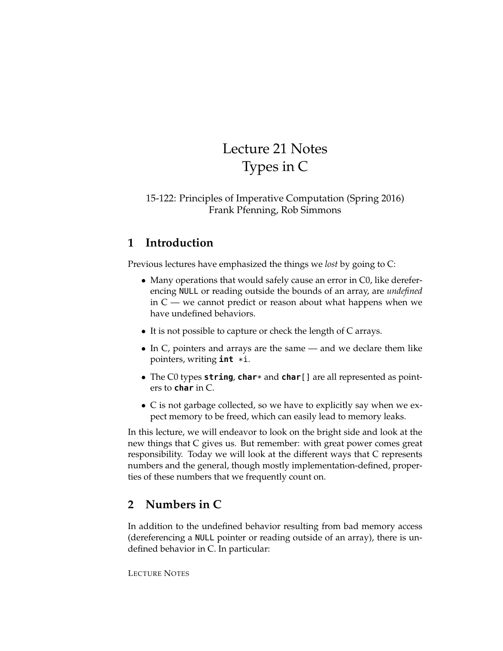# Lecture 21 Notes Types in C

### 15-122: Principles of Imperative Computation (Spring 2016) Frank Pfenning, Rob Simmons

## **1 Introduction**

Previous lectures have emphasized the things we *lost* by going to C:

- Many operations that would safely cause an error in C0, like dereferencing NULL or reading outside the bounds of an array, are *undefined* in  $C$  — we cannot predict or reason about what happens when we have undefined behaviors.
- It is not possible to capture or check the length of C arrays.
- In C, pointers and arrays are the same and we declare them like pointers, writing **int** \*i.
- The C0 types **string**, **char**\* and **char**[] are all represented as pointers to **char** in C.
- C is not garbage collected, so we have to explicitly say when we expect memory to be freed, which can easily lead to memory leaks.

In this lecture, we will endeavor to look on the bright side and look at the new things that C gives us. But remember: with great power comes great responsibility. Today we will look at the different ways that C represents numbers and the general, though mostly implementation-defined, properties of these numbers that we frequently count on.

## **2 Numbers in C**

In addition to the undefined behavior resulting from bad memory access (dereferencing a NULL pointer or reading outside of an array), there is undefined behavior in C. In particular: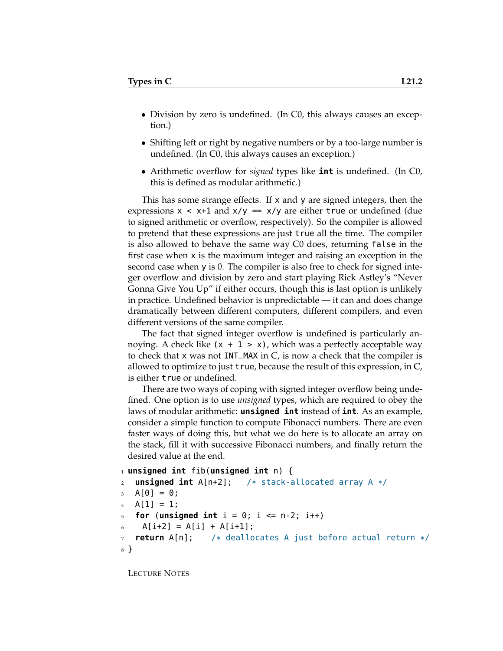- Division by zero is undefined. (In C0, this always causes an exception.)
- Shifting left or right by negative numbers or by a too-large number is undefined. (In C0, this always causes an exception.)
- Arithmetic overflow for *signed* types like **int** is undefined. (In C0, this is defined as modular arithmetic.)

This has some strange effects. If x and y are signed integers, then the expressions  $x < x+1$  and  $x/y == x/y$  are either true or undefined (due to signed arithmetic or overflow, respectively). So the compiler is allowed to pretend that these expressions are just true all the time. The compiler is also allowed to behave the same way C0 does, returning false in the first case when x is the maximum integer and raising an exception in the second case when y is 0. The compiler is also free to check for signed integer overflow and division by zero and start playing Rick Astley's "Never Gonna Give You Up" if either occurs, though this is last option is unlikely in practice. Undefined behavior is unpredictable — it can and does change dramatically between different computers, different compilers, and even different versions of the same compiler.

The fact that signed integer overflow is undefined is particularly annoying. A check like  $(x + 1 > x)$ , which was a perfectly acceptable way to check that x was not INT\_MAX in C, is now a check that the compiler is allowed to optimize to just true, because the result of this expression, in C, is either true or undefined.

There are two ways of coping with signed integer overflow being undefined. One option is to use *unsigned* types, which are required to obey the laws of modular arithmetic: **unsigned int** instead of **int**. As an example, consider a simple function to compute Fibonacci numbers. There are even faster ways of doing this, but what we do here is to allocate an array on the stack, fill it with successive Fibonacci numbers, and finally return the desired value at the end.

```
1 unsigned int fib(unsigned int n) {
2 unsigned int A[n+2]; /* stack-allocated array A */
3 \text{ A} [0] = 0;4 \text{ A}[1] = 1;for (unsigned int i = 0; i \le n-2; i++)A[i+2] = A[i] + A[i+1];7 return A[n]; /* deallocates A just before actual return */
8 }
```
LECTURE NOTES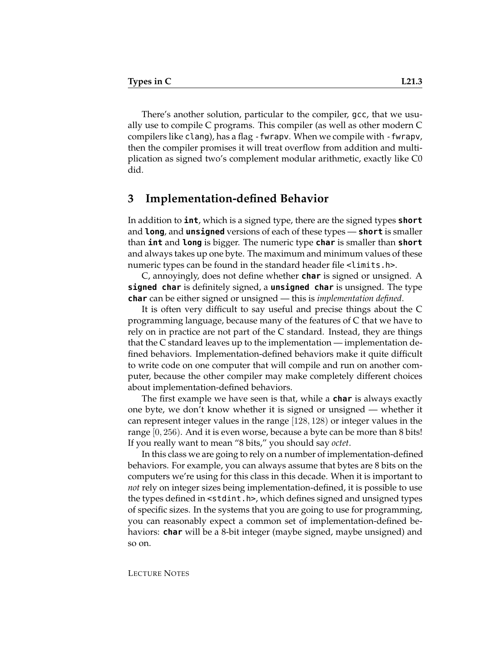There's another solution, particular to the compiler, gcc, that we usually use to compile C programs. This compiler (as well as other modern C compilers like clang), has a flag -fwrapv. When we compile with -fwrapv, then the compiler promises it will treat overflow from addition and multiplication as signed two's complement modular arithmetic, exactly like C0 did.

#### **3 Implementation-defined Behavior**

In addition to **int**, which is a signed type, there are the signed types **short** and **long**, and **unsigned** versions of each of these types — **short** is smaller than **int** and **long** is bigger. The numeric type **char** is smaller than **short** and always takes up one byte. The maximum and minimum values of these numeric types can be found in the standard header file <limits.h>.

C, annoyingly, does not define whether **char** is signed or unsigned. A **signed char** is definitely signed, a **unsigned char** is unsigned. The type **char** can be either signed or unsigned — this is *implementation defined*.

It is often very difficult to say useful and precise things about the C programming language, because many of the features of C that we have to rely on in practice are not part of the C standard. Instead, they are things that the C standard leaves up to the implementation — implementation defined behaviors. Implementation-defined behaviors make it quite difficult to write code on one computer that will compile and run on another computer, because the other compiler may make completely different choices about implementation-defined behaviors.

The first example we have seen is that, while a **char** is always exactly one byte, we don't know whether it is signed or unsigned — whether it can represent integer values in the range [128, 128) or integer values in the range [0, 256). And it is even worse, because a byte can be more than 8 bits! If you really want to mean "8 bits," you should say *octet*.

In this class we are going to rely on a number of implementation-defined behaviors. For example, you can always assume that bytes are 8 bits on the computers we're using for this class in this decade. When it is important to *not* rely on integer sizes being implementation-defined, it is possible to use the types defined in <stdint.h>, which defines signed and unsigned types of specific sizes. In the systems that you are going to use for programming, you can reasonably expect a common set of implementation-defined behaviors: **char** will be a 8-bit integer (maybe signed, maybe unsigned) and so on.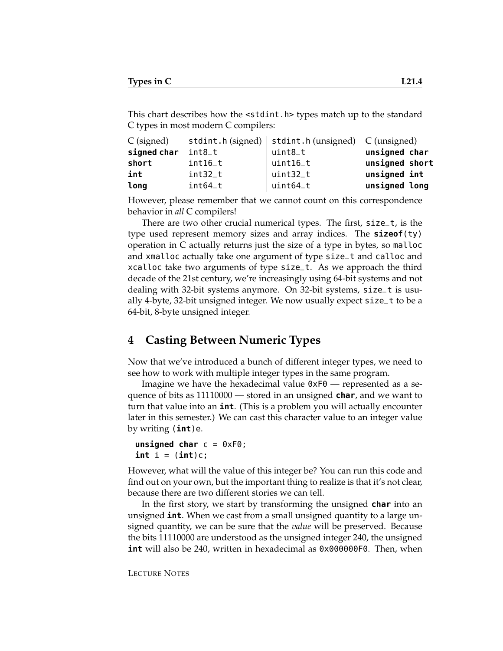This chart describes how the <stdint.h> types match up to the standard C types in most modern C compilers:

| $C$ (signed) |           | stdint.h (signed)   stdint.h (unsigned) $C$ (unsigned) |                |
|--------------|-----------|--------------------------------------------------------|----------------|
| signed char  | $int8_t$  | $uint8_t$                                              | unsigned char  |
| short        | int16_t   | $\vert$ uint $16\_t$                                   | unsigned short |
| int          | $int32_t$ | uint32_t                                               | unsigned int   |
| long         | $int64_t$ | uint64_t                                               | unsigned long  |

However, please remember that we cannot count on this correspondence behavior in *all* C compilers!

There are two other crucial numerical types. The first, size\_t, is the type used represent memory sizes and array indices. The **sizeof**(ty) operation in C actually returns just the size of a type in bytes, so malloc and xmalloc actually take one argument of type size\_t and calloc and xcalloc take two arguments of type size\_t. As we approach the third decade of the 21st century, we're increasingly using 64-bit systems and not dealing with 32-bit systems anymore. On 32-bit systems, size\_t is usually 4-byte, 32-bit unsigned integer. We now usually expect size\_t to be a 64-bit, 8-byte unsigned integer.

### **4 Casting Between Numeric Types**

Now that we've introduced a bunch of different integer types, we need to see how to work with multiple integer types in the same program.

Imagine we have the hexadecimal value 0xF0 — represented as a sequence of bits as 11110000 — stored in an unsigned **char**, and we want to turn that value into an **int**. (This is a problem you will actually encounter later in this semester.) We can cast this character value to an integer value by writing (**int**)e.

```
unsigned char c = 0xF0;
int i = (int)c;
```
However, what will the value of this integer be? You can run this code and find out on your own, but the important thing to realize is that it's not clear, because there are two different stories we can tell.

In the first story, we start by transforming the unsigned **char** into an unsigned **int**. When we cast from a small unsigned quantity to a large unsigned quantity, we can be sure that the *value* will be preserved. Because the bits 11110000 are understood as the unsigned integer 240, the unsigned **int** will also be 240, written in hexadecimal as 0x000000F0. Then, when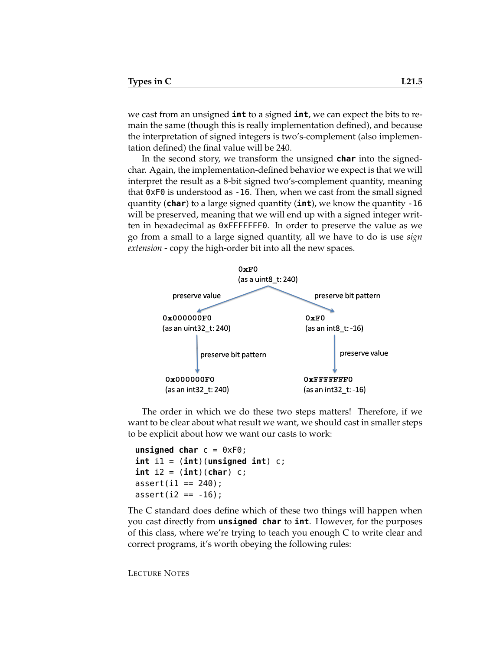we cast from an unsigned **int** to a signed **int**, we can expect the bits to remain the same (though this is really implementation defined), and because the interpretation of signed integers is two's-complement (also implementation defined) the final value will be 240.

In the second story, we transform the unsigned **char** into the signedchar. Again, the implementation-defined behavior we expect is that we will interpret the result as a 8-bit signed two's-complement quantity, meaning that 0xF0 is understood as -16. Then, when we cast from the small signed quantity (**char**) to a large signed quantity (**int**), we know the quantity -16 will be preserved, meaning that we will end up with a signed integer written in hexadecimal as 0xFFFFFFF0. In order to preserve the value as we go from a small to a large signed quantity, all we have to do is use *sign extension* - copy the high-order bit into all the new spaces.



The order in which we do these two steps matters! Therefore, if we want to be clear about what result we want, we should cast in smaller steps to be explicit about how we want our casts to work:

```
unsigned char c = 0xF0;
int i1 = (int)(unsigned int) c;
int i2 = (int)(char) c;
assert(i1 == 240);
assert(12 == -16);
```
The C standard does define which of these two things will happen when you cast directly from **unsigned char** to **int**. However, for the purposes of this class, where we're trying to teach you enough C to write clear and correct programs, it's worth obeying the following rules:

LECTURE NOTES